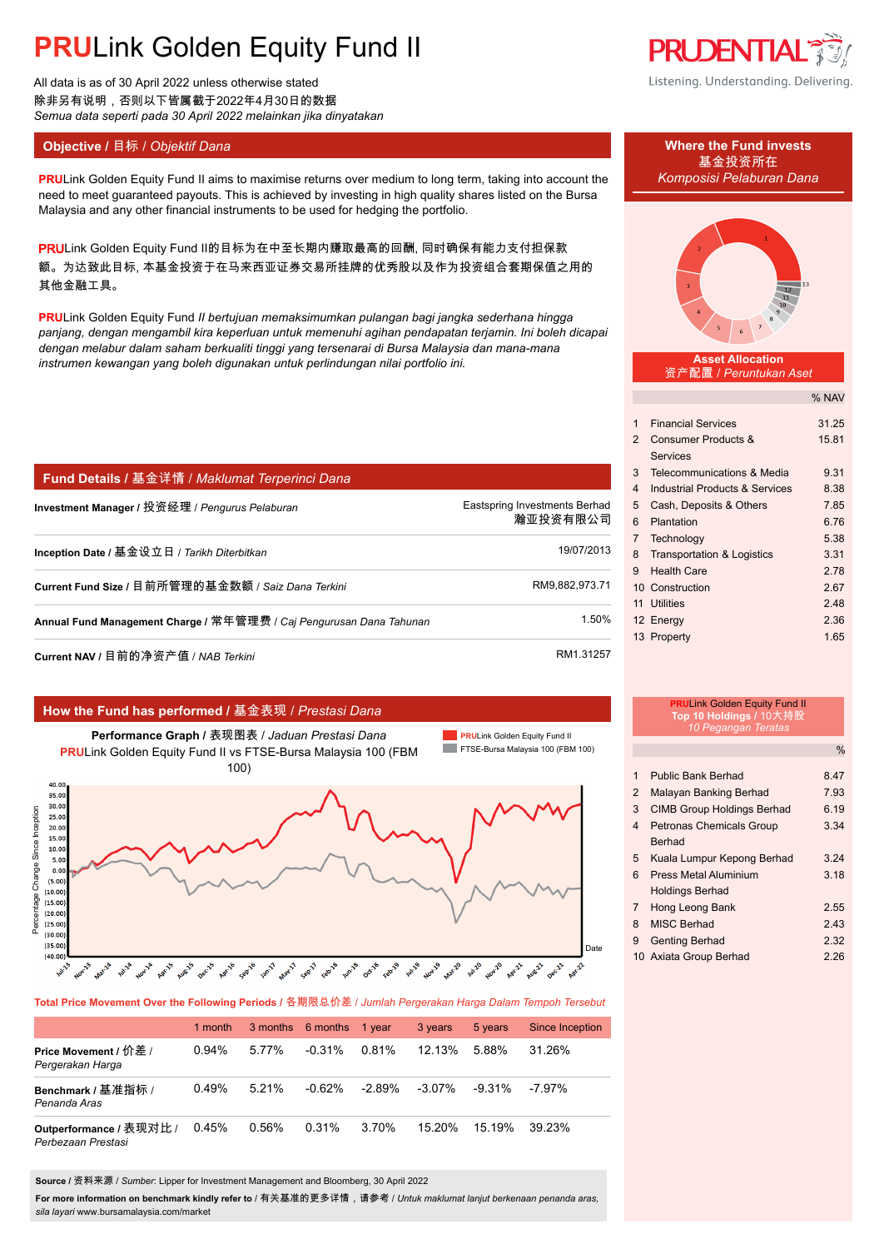# **PRULink Golden Equity Fund II**

All data is as of 30 April 2022 unless otherwise stated 除非另有说明,否则以下皆属截于2022年4月30日的数据 *Semua data seperti pada 30 April 2022 melainkan jika dinyatakan*

## **Objective /** 目标 / *Objektif Dana* **Where the Fund invests**

**PRU**Link Golden Equity Fund II aims to maximise returns over medium to long term, taking into account the *Komposisi Pelaburan Dana* need to meet guaranteed payouts. This is achieved by investing in high quality shares listed on the Bursa Malaysia and any other financial instruments to be used for hedging the portfolio.

PRULink Golden Equity Fund II的目标为在中至长期内赚取最高的回酬, 同时确保有能力支付担保款 额。为达致此目标, 本基金投资于在马来西亚证券交易所挂牌的优秀股以及作为投资组合套期保值之用的 其他金融工具。

**PRU**Link Golden Equity Fund *II bertujuan memaksimumkan pulangan bagi jangka sederhana hingga panjang, dengan mengambil kira keperluan untuk memenuhi agihan pendapatan terjamin. Ini boleh dicapai dengan melabur dalam saham berkualiti tinggi yang tersenarai di Bursa Malaysia dan mana-mana instrumen kewangan yang boleh digunakan untuk perlindungan nilai portfolio ini.*

| <b>Fund Details / 基金详情 / Maklumat Terperinci Dana</b>               |                                           |
|---------------------------------------------------------------------|-------------------------------------------|
| Investment Manager / 投资经理 / Pengurus Pelaburan                      | Eastspring Investments Berhad<br>瀚亚投资有限公司 |
| Inception Date / 基金设立日 / Tarikh Diterbitkan                         | 19/07/2013                                |
| Current Fund Size / 目前所管理的基金数额 / Saiz Dana Terkini                  | RM9.882.973.71                            |
| Annual Fund Management Charge / 常年管理费 / Caj Pengurusan Dana Tahunan | 1.50%                                     |
| <b>Current NAV /</b> 目前的净资产值 / NAB <i>Terkini</i>                   | RM1.31257                                 |

### **How the Fund has performed /** 基金表现 / *Prestasi Dana*



**Total Price Movement Over the Following Periods /** 各期限总价差 / *Jumlah Pergerakan Harga Dalam Tempoh Tersebut*

|                                               | 1 month  |       | 3 months 6 months | 1 year    | 3 years   | 5 years   | <b>Since Inception</b> |
|-----------------------------------------------|----------|-------|-------------------|-----------|-----------|-----------|------------------------|
| Price Movement / 价差 /<br>Pergerakan Harga     | $0.94\%$ | 5.77% | $-0.31%$          | 0.81%     | $12.13\%$ | 588%      | 31.26%                 |
| Benchmark / 基准指标 /<br>Penanda Aras            | 0.49%    | 5.21% | $-0.62%$          | $-2.89\%$ | $-3.07\%$ | $-9.31\%$ | $-7.97\%$              |
| Outperformance / 表现对比 /<br>Perbezaan Prestasi | 0.45%    | 0.56% | 0.31%             | 3.70%     | $15.20\%$ | 15.19%    | 39 23%                 |

**Source /** 资料来源 / *Sumber*: Lipper for Investment Management and Bloomberg, 30 April 2022

**For more information on benchmark kindly refer to** / 有关基准的更多详情,请参考 / *Untuk maklumat lanjut berkenaan penanda aras, sila layari* www.bursamalaysia.com/market

## **PRUDENTIAL** Listening. Understanding. Delivering.

基金投资所在



### **Asset Allocation** 资产配置 / *Peruntukan Aset*

 $N_{A}$ 

|                |                                       | % INAV |
|----------------|---------------------------------------|--------|
|                |                                       |        |
| 1              | <b>Financial Services</b>             | 31.25  |
| $\mathcal{P}$  | Consumer Products &                   | 15.81  |
|                | Services                              |        |
| 3              | Telecommunications & Media            | 9.31   |
| 4              | Industrial Products & Services        | 8.38   |
| 5              | Cash, Deposits & Others               | 7.85   |
| 6              | Plantation                            | 6.76   |
| $\overline{7}$ | Technology                            | 5.38   |
| 8              | <b>Transportation &amp; Logistics</b> | 3.31   |
| 9              | <b>Health Care</b>                    | 2.78   |
|                | 10 Construction                       | 2.67   |
| 11             | <b>Utilities</b>                      | 2.48   |
|                | 12 Energy                             | 2.36   |
|                | 13 Property                           | 1.65   |
|                |                                       |        |

## **PRU**Link Golden Equity Fund II **Top 10 Holdings /** 10大持股 *10 Pegangan Teratas*

|   |                                   | %    |
|---|-----------------------------------|------|
|   |                                   |      |
| 1 | Public Bank Berhad                | 8.47 |
| 2 | Malayan Banking Berhad            | 7.93 |
| 3 | <b>CIMB Group Holdings Berhad</b> | 6.19 |
| 4 | <b>Petronas Chemicals Group</b>   | 3.34 |
|   | <b>Berhad</b>                     |      |
| 5 | Kuala Lumpur Kepong Berhad        | 3.24 |
| 6 | Press Metal Aluminium             | 3.18 |
|   | <b>Holdings Berhad</b>            |      |
| 7 | Hong Leong Bank                   | 2.55 |
| 8 | MISC Berhad                       | 2.43 |
| 9 | <b>Genting Berhad</b>             | 2.32 |
|   | 10 Axiata Group Berhad            | 2 26 |
|   |                                   |      |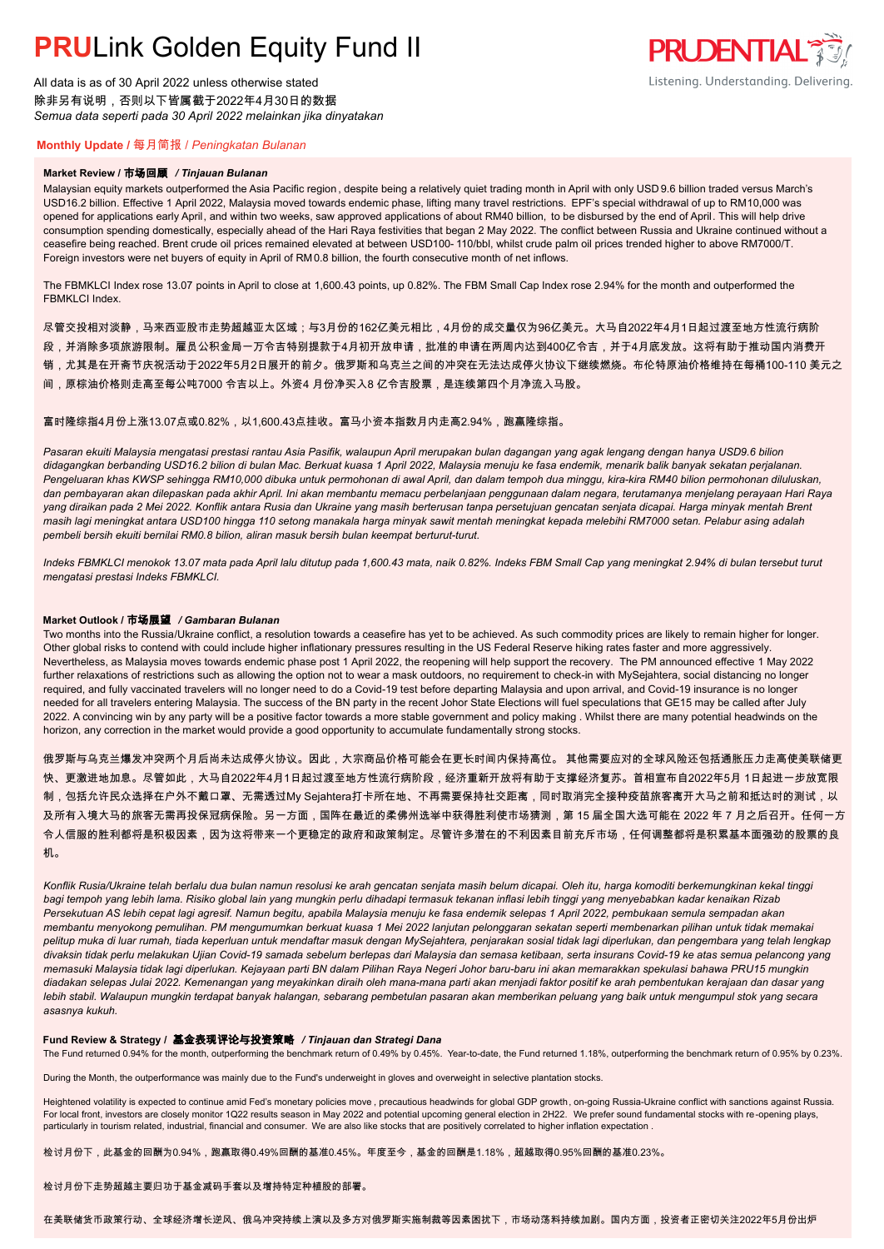## **PRULink Golden Equity Fund II**

All data is as of 30 April 2022 unless otherwise stated 除非另有说明,否则以下皆属截于2022年4月30日的数据 *Semua data seperti pada 30 April 2022 melainkan jika dinyatakan*



### **Monthly Update /** 每月简报 / *Peningkatan Bulanan*

#### **Market Review /** 市场回顾 */ Tinjauan Bulanan*

Malaysian equity markets outperformed the Asia Pacific region , despite being a relatively quiet trading month in April with only USD 9.6 billion traded versus March's USD16.2 billion. Effective 1 April 2022, Malaysia moved towards endemic phase, lifting many travel restrictions. EPF's special withdrawal of up to RM10,000 was opened for applications early April, and within two weeks, saw approved applications of about RM40 billion, to be disbursed by the end of April. This will help drive consumption spending domestically, especially ahead of the Hari Raya festivities that began 2 May 2022. The conflict between Russia and Ukraine continued without a ceasefire being reached. Brent crude oil prices remained elevated at between USD100- 110/bbl, whilst crude palm oil prices trended higher to above RM7000/T. Foreign investors were net buyers of equity in April of RM0.8 billion, the fourth consecutive month of net inflows.

The FBMKLCI Index rose 13.07 points in April to close at 1,600.43 points, up 0.82%. The FBM Small Cap Index rose 2.94% for the month and outperformed the FBMKLCI Index.

尽管交投相对淡静,马来西亚股市走势超越亚太区域;与3月份的162亿美元相比,4月份的成交量仅为96亿美元。大马自2022年4月1日起过渡至地方性流行病阶 段,并消除多项旅游限制。雇员公积金局一万令吉特别提款于4月初开放申请,批准的申请在两周内达到400亿令吉,并于4月底发放。这将有助于推动国内消费开 销,尤其是在开斋节庆祝活动于2022年5月2日展开的前夕。俄罗斯和乌克兰之间的冲突在无法达成停火协议下继续燃烧。布伦特原油价格维持在每桶100-110 美元之 间,原棕油价格则走高至每公吨7000 令吉以上。外资4 月份净买入8 亿令吉股票,是连续第四个月净流入马股。

富时隆综指4月份上涨13.07点或0.82%,以1,600.43点挂收。富马小资本指数月内走高2.94%,跑赢隆综指。

*Pasaran ekuiti Malaysia mengatasi prestasi rantau Asia Pasifik, walaupun April merupakan bulan dagangan yang agak lengang dengan hanya USD9.6 bilion didagangkan berbanding USD16.2 bilion di bulan Mac. Berkuat kuasa 1 April 2022, Malaysia menuju ke fasa endemik, menarik balik banyak sekatan perjalanan. Pengeluaran khas KWSP sehingga RM10,000 dibuka untuk permohonan di awal April, dan dalam tempoh dua minggu, kira-kira RM40 bilion permohonan diluluskan, dan pembayaran akan dilepaskan pada akhir April. Ini akan membantu memacu perbelanjaan penggunaan dalam negara, terutamanya menjelang perayaan Hari Raya yang diraikan pada 2 Mei 2022. Konflik antara Rusia dan Ukraine yang masih berterusan tanpa persetujuan gencatan senjata dicapai. Harga minyak mentah Brent masih lagi meningkat antara USD100 hingga 110 setong manakala harga minyak sawit mentah meningkat kepada melebihi RM7000 setan. Pelabur asing adalah pembeli bersih ekuiti bernilai RM0.8 bilion, aliran masuk bersih bulan keempat berturut-turut.*

*Indeks FBMKLCI menokok 13.07 mata pada April lalu ditutup pada 1,600.43 mata, naik 0.82%. Indeks FBM Small Cap yang meningkat 2.94% di bulan tersebut turut mengatasi prestasi Indeks FBMKLCI.*

#### **Market Outlook /** 市场展望 */ Gambaran Bulanan*

Two months into the Russia/Ukraine conflict, a resolution towards a ceasefire has yet to be achieved. As such commodity prices are likely to remain higher for longer. Other global risks to contend with could include higher inflationary pressures resulting in the US Federal Reserve hiking rates faster and more aggressively. Nevertheless, as Malaysia moves towards endemic phase post 1 April 2022, the reopening will help support the recovery. The PM announced effective 1 May 2022 further relaxations of restrictions such as allowing the option not to wear a mask outdoors, no requirement to check-in with MySejahtera, social distancing no longer required, and fully vaccinated travelers will no longer need to do a Covid-19 test before departing Malaysia and upon arrival, and Covid-19 insurance is no longer needed for all travelers entering Malaysia. The success of the BN party in the recent Johor State Elections will fuel speculations that GE15 may be called after July 2022. A convincing win by any party will be a positive factor towards a more stable government and policy making . Whilst there are many potential headwinds on the horizon, any correction in the market would provide a good opportunity to accumulate fundamentally strong stocks.

俄罗斯与乌克兰爆发冲突两个月后尚未达成停火协议。因此,大宗商品价格可能会在更长时间内保持高位。 其他需要应对的全球风险还包括通胀压力走高使美联储更 快、更激进地加息。尽管如此,大马自2022年4月1日起过渡至地方性流行病阶段,经济重新开放将有助于支撑经济复苏。首相宣布自2022年5月 1日起进一步放宽限 制,包括允许民众选择在户外不戴口罩、无需透过My Sejahtera打卡所在地、不再需要保持社交距离,同时取消完全接种疫苗旅客离开大马之前和抵达时的测试,以 及所有入境大马的旅客无需再投保冠病保险。另一方面,国阵在最近的柔佛州选举中获得胜利使市场猜测,第 15 届全国大选可能在 2022 年 7 月之后召开。任何一方 令人信服的胜利都将是积极因素,因为这将带来一个更稳定的政府和政策制定。尽管许多潜在的不利因素目前充斥市场,任何调整都将是积累基本面强劲的股票的良 机。

*Konflik Rusia/Ukraine telah berlalu dua bulan namun resolusi ke arah gencatan senjata masih belum dicapai. Oleh itu, harga komoditi berkemungkinan kekal tinggi bagi tempoh yang lebih lama. Risiko global lain yang mungkin perlu dihadapi termasuk tekanan inflasi lebih tinggi yang menyebabkan kadar kenaikan Rizab Persekutuan AS lebih cepat lagi agresif. Namun begitu, apabila Malaysia menuju ke fasa endemik selepas 1 April 2022, pembukaan semula sempadan akan membantu menyokong pemulihan. PM mengumumkan berkuat kuasa 1 Mei 2022 lanjutan pelonggaran sekatan seperti membenarkan pilihan untuk tidak memakai pelitup muka di luar rumah, tiada keperluan untuk mendaftar masuk dengan MySejahtera, penjarakan sosial tidak lagi diperlukan, dan pengembara yang telah lengkap divaksin tidak perlu melakukan Ujian Covid-19 samada sebelum berlepas dari Malaysia dan semasa ketibaan, serta insurans Covid-19 ke atas semua pelancong yang memasuki Malaysia tidak lagi diperlukan. Kejayaan parti BN dalam Pilihan Raya Negeri Johor baru-baru ini akan memarakkan spekulasi bahawa PRU15 mungkin diadakan selepas Julai 2022. Kemenangan yang meyakinkan diraih oleh mana-mana parti akan menjadi faktor positif ke arah pembentukan kerajaan dan dasar yang lebih stabil. Walaupun mungkin terdapat banyak halangan, sebarang pembetulan pasaran akan memberikan peluang yang baik untuk mengumpul stok yang secara asasnya kukuh.*

#### **Fund Review & Strategy /** 基金表现评论与投资策略 */ Tinjauan dan Strategi Dana*

The Fund returned 0.94% for the month, outperforming the benchmark return of 0.49% by 0.45%. Year-to-date, the Fund returned 1.18%, outperforming the benchmark return of 0.95% by 0.23%.

During the Month, the outperformance was mainly due to the Fund's underweight in gloves and overweight in selective plantation stocks.

Heightened volatility is expected to continue amid Fed's monetary policies move , precautious headwinds for global GDP growth, on-going Russia-Ukraine conflict with sanctions against Russia. For local front, investors are closely monitor 1Q22 results season in May 2022 and potential upcoming general election in 2H22. We prefer sound fundamental stocks with re-opening plays, particularly in tourism related, industrial, financial and consumer. We are also like stocks that are positively correlated to higher inflation expectation .

检讨月份下,此基金的回酬为0.94%,跑赢取得0.49%回酬的基准0.45%。年度至今,基金的回酬是1.18%,超越取得0.95%回酬的基准0.23%。

检讨月份下走势超越主要归功于基金减码手套以及增持特定种植股的部署。